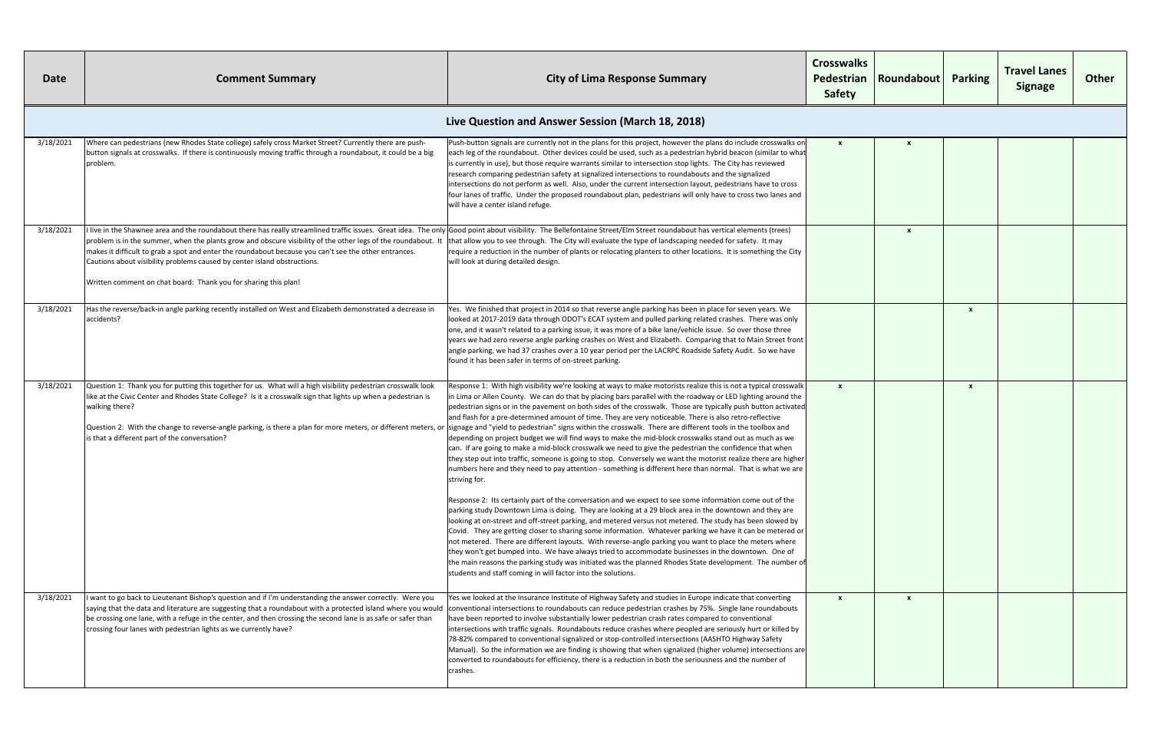| <b>Date</b> | <b>Comment Summary</b>                                                                                                                                                                                                                                                                                                                                                                                                                                                                                                                                                                             | <b>City of Lima Response Summary</b>                                                                                                                                                                                                                                                                                                                                                                                                                                                                                                                                                                                                                                                                                                                                                                                                                                                                                                                                                                                                                                                                                                                                                                                                                                                                                                                                                                                                                                                                                                                                                                                                                                                                                                                                                                                                                                                          | <b>Crosswalks</b><br><b>Safety</b> | Pedestrian   Roundabout | <b>Parking</b>   | <b>Travel Lanes</b><br><b>Signage</b> | <b>Other</b> |
|-------------|----------------------------------------------------------------------------------------------------------------------------------------------------------------------------------------------------------------------------------------------------------------------------------------------------------------------------------------------------------------------------------------------------------------------------------------------------------------------------------------------------------------------------------------------------------------------------------------------------|-----------------------------------------------------------------------------------------------------------------------------------------------------------------------------------------------------------------------------------------------------------------------------------------------------------------------------------------------------------------------------------------------------------------------------------------------------------------------------------------------------------------------------------------------------------------------------------------------------------------------------------------------------------------------------------------------------------------------------------------------------------------------------------------------------------------------------------------------------------------------------------------------------------------------------------------------------------------------------------------------------------------------------------------------------------------------------------------------------------------------------------------------------------------------------------------------------------------------------------------------------------------------------------------------------------------------------------------------------------------------------------------------------------------------------------------------------------------------------------------------------------------------------------------------------------------------------------------------------------------------------------------------------------------------------------------------------------------------------------------------------------------------------------------------------------------------------------------------------------------------------------------------|------------------------------------|-------------------------|------------------|---------------------------------------|--------------|
|             |                                                                                                                                                                                                                                                                                                                                                                                                                                                                                                                                                                                                    | Live Question and Answer Session (March 18, 2018)                                                                                                                                                                                                                                                                                                                                                                                                                                                                                                                                                                                                                                                                                                                                                                                                                                                                                                                                                                                                                                                                                                                                                                                                                                                                                                                                                                                                                                                                                                                                                                                                                                                                                                                                                                                                                                             |                                    |                         |                  |                                       |              |
| 3/18/2021   | Where can pedestrians (new Rhodes State college) safely cross Market Street? Currently there are push-<br>button signals at crosswalks. If there is continuously moving traffic through a roundabout, it could be a big<br>problem.                                                                                                                                                                                                                                                                                                                                                                | Push-button signals are currently not in the plans for this project, however the plans do include crosswalks on<br>each leg of the roundabout. Other devices could be used, such as a pedestrian hybrid beacon (similar to what<br>is currently in use), but those require warrants similar to intersection stop lights. The City has reviewed<br>research comparing pedestrian safety at signalized intersections to roundabouts and the signalized<br>intersections do not perform as well. Also, under the current intersection layout, pedestrians have to cross<br>four lanes of traffic. Under the proposed roundabout plan, pedestrians will only have to cross two lanes and<br>will have a center island refuge.                                                                                                                                                                                                                                                                                                                                                                                                                                                                                                                                                                                                                                                                                                                                                                                                                                                                                                                                                                                                                                                                                                                                                                     | $\mathbf{x}$                       |                         |                  |                                       |              |
| 3/18/2021   | I live in the Shawnee area and the roundabout there has really streamlined traffic issues. Great idea. The only Good point about visibility. The Bellefontaine Street/Elm Street roundabout has vertical elements (trees)<br>problem is in the summer, when the plants grow and obscure visibility of the other legs of the roundabout. It<br>makes it difficult to grab a spot and enter the roundabout because you can't see the other entrances.<br>Cautions about visibility problems caused by center island obstructions.<br>Written comment on chat board: Thank you for sharing this plan! | that allow you to see through. The City will evaluate the type of landscaping needed for safety. It may<br>require a reduction in the number of plants or relocating planters to other locations. It is something the City<br>will look at during detailed design.                                                                                                                                                                                                                                                                                                                                                                                                                                                                                                                                                                                                                                                                                                                                                                                                                                                                                                                                                                                                                                                                                                                                                                                                                                                                                                                                                                                                                                                                                                                                                                                                                            |                                    | $\mathbf{x}$            |                  |                                       |              |
| 3/18/2021   | Has the reverse/back-in angle parking recently installed on West and Elizabeth demonstrated a decrease in<br>accidents?                                                                                                                                                                                                                                                                                                                                                                                                                                                                            | Yes. We finished that project in 2014 so that reverse angle parking has been in place for seven years. We<br>looked at 2017-2019 data through ODOT's ECAT system and pulled parking related crashes. There was only<br>one, and it wasn't related to a parking issue, it was more of a bike lane/vehicle issue. So over those three<br>years we had zero reverse angle parking crashes on West and Elizabeth. Comparing that to Main Street front<br>angle parking, we had 37 crashes over a 10 year period per the LACRPC Roadside Safety Audit. So we have<br>found it has been safer in terms of on-street parking.                                                                                                                                                                                                                                                                                                                                                                                                                                                                                                                                                                                                                                                                                                                                                                                                                                                                                                                                                                                                                                                                                                                                                                                                                                                                        |                                    |                         | $\boldsymbol{x}$ |                                       |              |
| 3/18/2021   | Question 1: Thank you for putting this together for us. What will a high visibility pedestrian crosswalk look<br>like at the Civic Center and Rhodes State College? Is it a crosswalk sign that lights up when a pedestrian is<br>walking there?<br>Question 2: With the change to reverse-angle parking, is there a plan for more meters, or different meters, or<br>is that a different part of the conversation?                                                                                                                                                                                | Response 1: With high visibility we're looking at ways to make motorists realize this is not a typical crosswalk<br>in Lima or Allen County. We can do that by placing bars parallel with the roadway or LED lighting around the<br>pedestrian signs or in the pavement on both sides of the crosswalk. Those are typically push button activated<br>and flash for a pre-determined amount of time. They are very noticeable. There is also retro-reflective<br>signage and "yield to pedestrian" signs within the crosswalk. There are different tools in the toolbox and<br>depending on project budget we will find ways to make the mid-block crosswalks stand out as much as we<br>can. If are going to make a mid-block crosswalk we need to give the pedestrian the confidence that when<br>they step out into traffic, someone is going to stop. Conversely we want the motorist realize there are higher<br>numbers here and they need to pay attention - something is different here than normal. That is what we are<br>striving for.<br>Response 2: Its certainly part of the conversation and we expect to see some information come out of the<br>parking study Downtown Lima is doing. They are looking at a 29 block area in the downtown and they are<br>looking at on-street and off-street parking, and metered versus not metered. The study has been slowed by<br>Covid. They are getting closer to sharing some information. Whatever parking we have it can be metered or<br>not metered. There are different layouts. With reverse-angle parking you want to place the meters where<br>they won't get bumped into. We have always tried to accommodate businesses in the downtown. One of<br>the main reasons the parking study was initiated was the planned Rhodes State development. The number of<br>students and staff coming in will factor into the solutions. | $\mathbf{x}$                       |                         | $\boldsymbol{x}$ |                                       |              |
| 3/18/2021   | I want to go back to Lieutenant Bishop's question and if I'm understanding the answer correctly. Were you<br>saying that the data and literature are suggesting that a roundabout with a protected island where you would<br>be crossing one lane, with a refuge in the center, and then crossing the second lane is as safe or safer than<br>crossing four lanes with pedestrian lights as we currently have?                                                                                                                                                                                     | Yes we looked at the Insurance Institute of Highway Safety and studies in Europe indicate that converting<br>conventional intersections to roundabouts can reduce pedestrian crashes by 75%. Single lane roundabouts<br>have been reported to involve substantially lower pedestrian crash rates compared to conventional<br>intersections with traffic signals. Roundabouts reduce crashes where peopled are seriously hurt or killed by<br>78-82% compared to conventional signalized or stop-controlled intersections (AASHTO Highway Safety<br>Manual). So the information we are finding is showing that when signalized (higher volume) intersections are<br>converted to roundabouts for efficiency, there is a reduction in both the seriousness and the number of<br>crashes.                                                                                                                                                                                                                                                                                                                                                                                                                                                                                                                                                                                                                                                                                                                                                                                                                                                                                                                                                                                                                                                                                                        | $\mathbf{x}$                       | $\boldsymbol{x}$        |                  |                                       |              |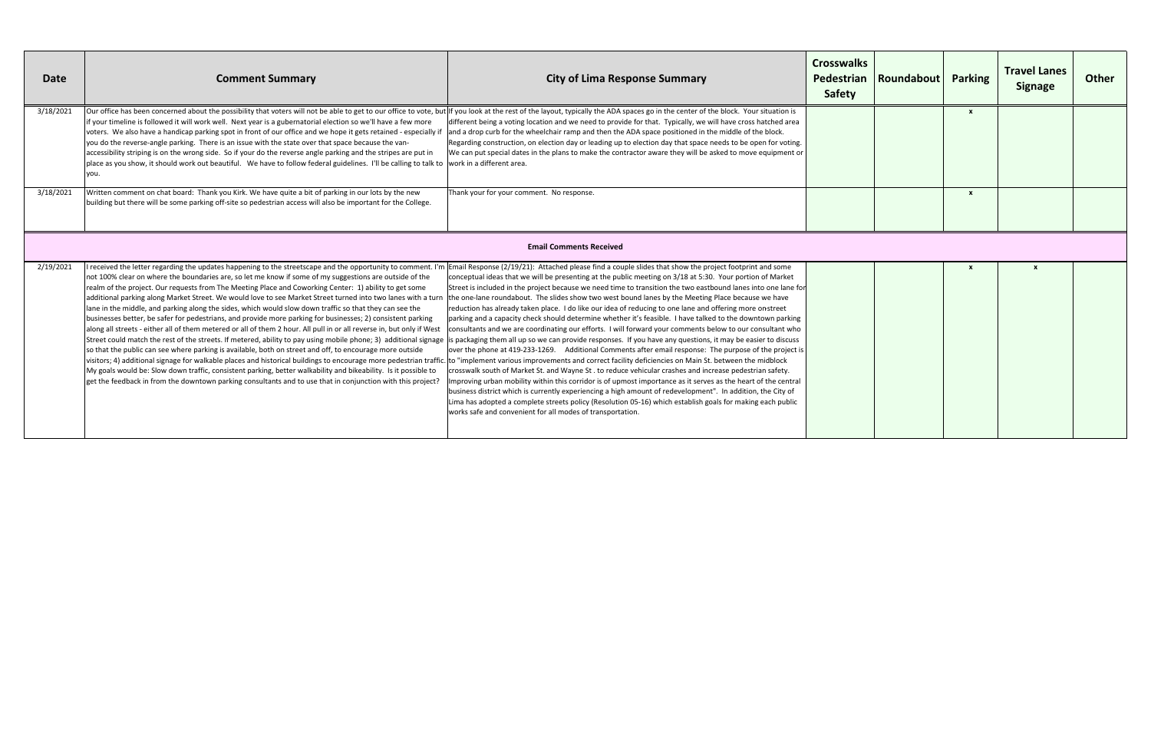| <b>Date</b> | <b>Comment Summary</b>                                                                                                                                                                                                                                                                                                                                                                                                                                                                                                                                                                                                                                                                                                                                                                                                                                                                                                                                                                                                                                                                                                                                                                                                                                                                                                                                                                                                                                                                           | <b>City of Lima Response Summary</b>                                                                                                                                                                                                                                                                                                                                                                                                                                                                                                                                                                                                                                                                                                                                                                                                                                                                                                                                                                                                                                                                                                                                                                                                                                                                                                                                                                                                                                                                                                    | <b>Crosswalks</b><br><b>Safety</b> | Pedestrian   Roundabout | <b>Parking</b>            | <b>Travel Lanes</b><br><b>Signage</b> | Other |  |
|-------------|--------------------------------------------------------------------------------------------------------------------------------------------------------------------------------------------------------------------------------------------------------------------------------------------------------------------------------------------------------------------------------------------------------------------------------------------------------------------------------------------------------------------------------------------------------------------------------------------------------------------------------------------------------------------------------------------------------------------------------------------------------------------------------------------------------------------------------------------------------------------------------------------------------------------------------------------------------------------------------------------------------------------------------------------------------------------------------------------------------------------------------------------------------------------------------------------------------------------------------------------------------------------------------------------------------------------------------------------------------------------------------------------------------------------------------------------------------------------------------------------------|-----------------------------------------------------------------------------------------------------------------------------------------------------------------------------------------------------------------------------------------------------------------------------------------------------------------------------------------------------------------------------------------------------------------------------------------------------------------------------------------------------------------------------------------------------------------------------------------------------------------------------------------------------------------------------------------------------------------------------------------------------------------------------------------------------------------------------------------------------------------------------------------------------------------------------------------------------------------------------------------------------------------------------------------------------------------------------------------------------------------------------------------------------------------------------------------------------------------------------------------------------------------------------------------------------------------------------------------------------------------------------------------------------------------------------------------------------------------------------------------------------------------------------------------|------------------------------------|-------------------------|---------------------------|---------------------------------------|-------|--|
| 3/18/2021   | Our office has been concerned about the possibility that voters will not be able to get to our office to vote, but if you look at the rest of the layout, typically the ADA spaces go in the center of the block. Your situati<br>lif your timeline is followed it will work well. Next year is a gubernatorial election so we'll have a few more<br>voters. We also have a handicap parking spot in front of our office and we hope it gets retained - especially if<br>you do the reverse-angle parking. There is an issue with the state over that space because the van-<br>accessibility striping is on the wrong side. So if your do the reverse angle parking and the stripes are put in<br>place as you show, it should work out beautiful. We have to follow federal guidelines. I'll be calling to talk to<br>you.                                                                                                                                                                                                                                                                                                                                                                                                                                                                                                                                                                                                                                                                     | different being a voting location and we need to provide for that. Typically, we will have cross hatched area<br>and a drop curb for the wheelchair ramp and then the ADA space positioned in the middle of the block.<br>Regarding construction, on election day or leading up to election day that space needs to be open for voting.<br>We can put special dates in the plans to make the contractor aware they will be asked to move equipment or<br>work in a different area.                                                                                                                                                                                                                                                                                                                                                                                                                                                                                                                                                                                                                                                                                                                                                                                                                                                                                                                                                                                                                                                      |                                    |                         | $\boldsymbol{x}$          |                                       |       |  |
| 3/18/2021   | Written comment on chat board: Thank you Kirk. We have quite a bit of parking in our lots by the new<br>building but there will be some parking off-site so pedestrian access will also be important for the College.                                                                                                                                                                                                                                                                                                                                                                                                                                                                                                                                                                                                                                                                                                                                                                                                                                                                                                                                                                                                                                                                                                                                                                                                                                                                            | Thank your for your comment. No response.                                                                                                                                                                                                                                                                                                                                                                                                                                                                                                                                                                                                                                                                                                                                                                                                                                                                                                                                                                                                                                                                                                                                                                                                                                                                                                                                                                                                                                                                                               |                                    |                         | $\mathbf{x}$              |                                       |       |  |
|             | <b>Email Comments Received</b>                                                                                                                                                                                                                                                                                                                                                                                                                                                                                                                                                                                                                                                                                                                                                                                                                                                                                                                                                                                                                                                                                                                                                                                                                                                                                                                                                                                                                                                                   |                                                                                                                                                                                                                                                                                                                                                                                                                                                                                                                                                                                                                                                                                                                                                                                                                                                                                                                                                                                                                                                                                                                                                                                                                                                                                                                                                                                                                                                                                                                                         |                                    |                         |                           |                                       |       |  |
| 2/19/2021   | received the letter regarding the updates happening to the streetscape and the opportunity to comment. I'm<br>not 100% clear on where the boundaries are, so let me know if some of my suggestions are outside of the<br>realm of the project. Our requests from The Meeting Place and Coworking Center: 1) ability to get some<br>additional parking along Market Street. We would love to see Market Street turned into two lanes with a turr<br>lane in the middle, and parking along the sides, which would slow down traffic so that they can see the<br>businesses better, be safer for pedestrians, and provide more parking for businesses; 2) consistent parking<br>along all streets - either all of them metered or all of them 2 hour. All pull in or all reverse in, but only if West<br>Street could match the rest of the streets. If metered, ability to pay using mobile phone; 3) additional signage<br>so that the public can see where parking is available, both on street and off, to encourage more outside<br>visitors; 4) additional signage for walkable places and historical buildings to encourage more pedestrian traffic. to "implement various improvements and correct facility deficiencies on Main St. between the midblock<br>My goals would be: Slow down traffic, consistent parking, better walkability and bikeability. Is it possible to<br>get the feedback in from the downtown parking consultants and to use that in conjunction with this project? | Email Response (2/19/21): Attached please find a couple slides that show the project footprint and some<br>conceptual ideas that we will be presenting at the public meeting on 3/18 at 5:30. Your portion of Market<br>Street is included in the project because we need time to transition the two eastbound lanes into one lane for<br>the one-lane roundabout. The slides show two west bound lanes by the Meeting Place because we have<br>reduction has already taken place. I do like our idea of reducing to one lane and offering more on street<br>parking and a capacity check should determine whether it's feasible. I have talked to the downtown parking<br>consultants and we are coordinating our efforts. I will forward your comments below to our consultant who<br>is packaging them all up so we can provide responses. If you have any questions, it may be easier to discuss<br>over the phone at 419-233-1269. Additional Comments after email response: The purpose of the project is<br>crosswalk south of Market St. and Wayne St. to reduce vehicular crashes and increase pedestrian safety.<br>Improving urban mobility within this corridor is of upmost importance as it serves as the heart of the central<br>business district which is currently experiencing a high amount of redevelopment". In addition, the City of<br>Lima has adopted a complete streets policy (Resolution 05-16) which establish goals for making each public<br>works safe and convenient for all modes of transportation. |                                    |                         | $\boldsymbol{\mathsf{x}}$ |                                       |       |  |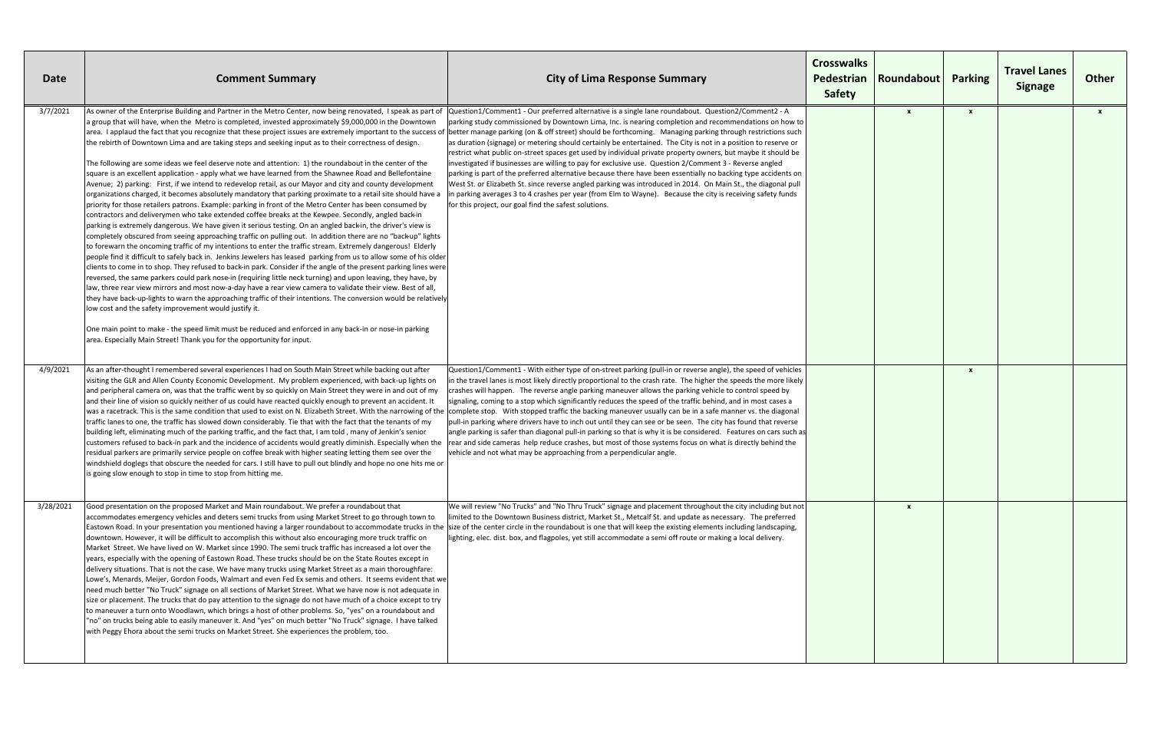| <b>Date</b> | <b>Comment Summary</b>                                                                                                                                                                                                                                                                                                                                                                                                                                                                                                                                                                                                                                                                                                                                                                                                                                                                                                                                                                                                                                                                                                                                                                                                                                                                                                                                                                                                                                                                                                                                                                                                                                                                                                                                                                                                                                                                                                                                                                                                                                                                                                                                                                                                                                                                                                 | <b>City of Lima Response Summary</b>                                                                                                                                                                                                                                                                                                                                                                                                                                                                                                                                                                                                                                                                                                                                                                                                                                                                                                                                                                                                                                           | <b>Crosswalks</b><br>Pedestrian<br><b>Safety</b> | <b>Roundabout</b> | <b>Parking</b> | <b>Travel Lanes</b><br><b>Signage</b> | Other        |
|-------------|------------------------------------------------------------------------------------------------------------------------------------------------------------------------------------------------------------------------------------------------------------------------------------------------------------------------------------------------------------------------------------------------------------------------------------------------------------------------------------------------------------------------------------------------------------------------------------------------------------------------------------------------------------------------------------------------------------------------------------------------------------------------------------------------------------------------------------------------------------------------------------------------------------------------------------------------------------------------------------------------------------------------------------------------------------------------------------------------------------------------------------------------------------------------------------------------------------------------------------------------------------------------------------------------------------------------------------------------------------------------------------------------------------------------------------------------------------------------------------------------------------------------------------------------------------------------------------------------------------------------------------------------------------------------------------------------------------------------------------------------------------------------------------------------------------------------------------------------------------------------------------------------------------------------------------------------------------------------------------------------------------------------------------------------------------------------------------------------------------------------------------------------------------------------------------------------------------------------------------------------------------------------------------------------------------------------|--------------------------------------------------------------------------------------------------------------------------------------------------------------------------------------------------------------------------------------------------------------------------------------------------------------------------------------------------------------------------------------------------------------------------------------------------------------------------------------------------------------------------------------------------------------------------------------------------------------------------------------------------------------------------------------------------------------------------------------------------------------------------------------------------------------------------------------------------------------------------------------------------------------------------------------------------------------------------------------------------------------------------------------------------------------------------------|--------------------------------------------------|-------------------|----------------|---------------------------------------|--------------|
| 3/7/2021    | As owner of the Enterprise Building and Partner in the Metro Center, now being renovated, I speak as part of<br>a group that will have, when the Metro is completed, invested approximately \$9,000,000 in the Downtown<br>area. I applaud the fact that you recognize that these project issues are extremely important to the success of<br>the rebirth of Downtown Lima and are taking steps and seeking input as to their correctness of design.<br>The following are some ideas we feel deserve note and attention: 1) the roundabout in the center of the<br>square is an excellent application - apply what we have learned from the Shawnee Road and Bellefontaine<br>Avenue; 2) parking: First, if we intend to redevelop retail, as our Mayor and city and county development<br>organizations charged, it becomes absolutely mandatory that parking proximate to a retail site should have a<br>priority for those retailers patrons. Example: parking in front of the Metro Center has been consumed by<br>contractors and deliverymen who take extended coffee breaks at the Kewpee. Secondly, angled back-in<br>parking is extremely dangerous. We have given it serious testing. On an angled backin, the driver's view is<br>completely obscured from seeing approaching traffic on pulling out. In addition there are no "backup" lights<br>to forewarn the oncoming traffic of my intentions to enter the traffic stream. Extremely dangerous! Elderly<br>people find it difficult to safely back in. Jenkins Jewelers has leased parking from us to allow some of his older<br>clients to come in to shop. They refused to back-in park. Consider if the angle of the present parking lines were<br>reversed, the same parkers could park nose-in (requiring little neck turning) and upon leaving, they have, by<br>law, three rear view mirrors and most now-a-day have a rear view camera to validate their view. Best of all,<br>they have back-up-lights to warn the approaching traffic of their intentions. The conversion would be relatively<br>low cost and the safety improvement would justify it.<br>One main point to make - the speed limit must be reduced and enforced in any back-in or nose-in parking<br>area. Especially Main Street! Thank you for the opportunity for input. | Question1/Comment1 - Our preferred alternative is a single lane roundabout. Question2/Comment2 - A<br>parking study commissioned by Downtown Lima, Inc. is nearing completion and recommendations on how to<br>better manage parking (on & off street) should be forthcoming. Managing parking through restrictions such<br>as duration (signage) or metering should certainly be entertained. The City is not in a position to reserve or<br>restrict what public on-street spaces get used by individual private property owners, but maybe it should be<br>investigated if businesses are willing to pay for exclusive use. Question 2/Comment 3 - Reverse angled<br>parking is part of the preferred alternative because there have been essentially no backing type accidents on<br>West St. or Elizabeth St. since reverse angled parking was introduced in 2014. On Main St., the diagonal pull<br>in parking averages 3 to 4 crashes per year (from Elm to Wayne). Because the city is receiving safety funds<br>for this project, our goal find the safest solutions. |                                                  | $\mathbf{x}$      | $\mathbf{x}$   |                                       | $\mathbf{x}$ |
| 4/9/2021    | As an after-thought I remembered several experiences I had on South Main Street while backing out after<br>visiting the GLR and Allen County Economic Development. My problem experienced, with back-up lights on<br>and peripheral camera on, was that the traffic went by so quickly on Main Street they were in and out of my<br>and their line of vision so quickly neither of us could have reacted quickly enough to prevent an accident. It<br>was a racetrack. This is the same condition that used to exist on N. Elizabeth Street. With the narrowing of the complete stop. With stopped traffic the backing maneuver usually can be in a safe manner vs. the diagonal<br>traffic lanes to one, the traffic has slowed down considerably. Tie that with the fact that the tenants of my<br>building left, eliminating much of the parking traffic, and the fact that, I am told, many of Jenkin's senior<br>customers refused to back-in park and the incidence of accidents would greatly diminish. Especially when the<br>residual parkers are primarily service people on coffee break with higher seating letting them see over the<br>windshield doglegs that obscure the needed for cars. I still have to pull out blindly and hope no one hits me or<br>is going slow enough to stop in time to stop from hitting me.                                                                                                                                                                                                                                                                                                                                                                                                                                                                                                                                                                                                                                                                                                                                                                                                                                                                                                                                                                                 | Question1/Comment1 - With either type of on-street parking (pull-in or reverse angle), the speed of vehicles<br>in the travel lanes is most likely directly proportional to the crash rate. The higher the speeds the more likely<br>crashes will happen. The reverse angle parking maneuver allows the parking vehicle to control speed by<br>signaling, coming to a stop which significantly reduces the speed of the traffic behind, and in most cases a<br>pull-in parking where drivers have to inch out until they can see or be seen. The city has found that reverse<br>angle parking is safer than diagonal pull-in parking so that is why it is be considered. Features on cars such as<br>rear and side cameras help reduce crashes, but most of those systems focus on what is directly behind the<br>vehicle and not what may be approaching from a perpendicular angle.                                                                                                                                                                                          |                                                  |                   | $\mathbf{x}$   |                                       |              |
| 3/28/2021   | Good presentation on the proposed Market and Main roundabout. We prefer a roundabout that<br>accommodates emergency vehicles and deters semi trucks from using Market Street to go through town to<br>Eastown Road. In your presentation you mentioned having a larger roundabout to accommodate trucks in the  size of the center circle in the roundabout is one that will keep the existing elements including landscaping,<br>downtown. However, it will be difficult to accomplish this without also encouraging more truck traffic on<br>Market Street. We have lived on W. Market since 1990. The semi truck traffic has increased a lot over the<br>years, especially with the opening of Eastown Road. These trucks should be on the State Routes except in<br>delivery situations. That is not the case. We have many trucks using Market Street as a main thoroughfare:<br>Lowe's, Menards, Meijer, Gordon Foods, Walmart and even Fed Ex semis and others. It seems evident that we<br>need much better "No Truck" signage on all sections of Market Street. What we have now is not adequate in<br>size or placement. The trucks that do pay attention to the signage do not have much of a choice except to try<br>to maneuver a turn onto Woodlawn, which brings a host of other problems. So, "yes" on a roundabout and<br>"no" on trucks being able to easily maneuver it. And "yes" on much better "No Truck" signage. I have talked<br>with Peggy Ehora about the semi trucks on Market Street. She experiences the problem, too.                                                                                                                                                                                                                                                                                                                                                                                                                                                                                                                                                                                                                                                                                                                                                                   | We will review "No Trucks" and "No Thru Truck" signage and placement throughout the city including but not<br>limited to the Downtown Business district, Market St., Metcalf St. and update as necessary. The preferred<br>lighting, elec. dist. box, and flagpoles, yet still accommodate a semi off route or making a local delivery.                                                                                                                                                                                                                                                                                                                                                                                                                                                                                                                                                                                                                                                                                                                                        |                                                  | $\mathbf{x}$      |                |                                       |              |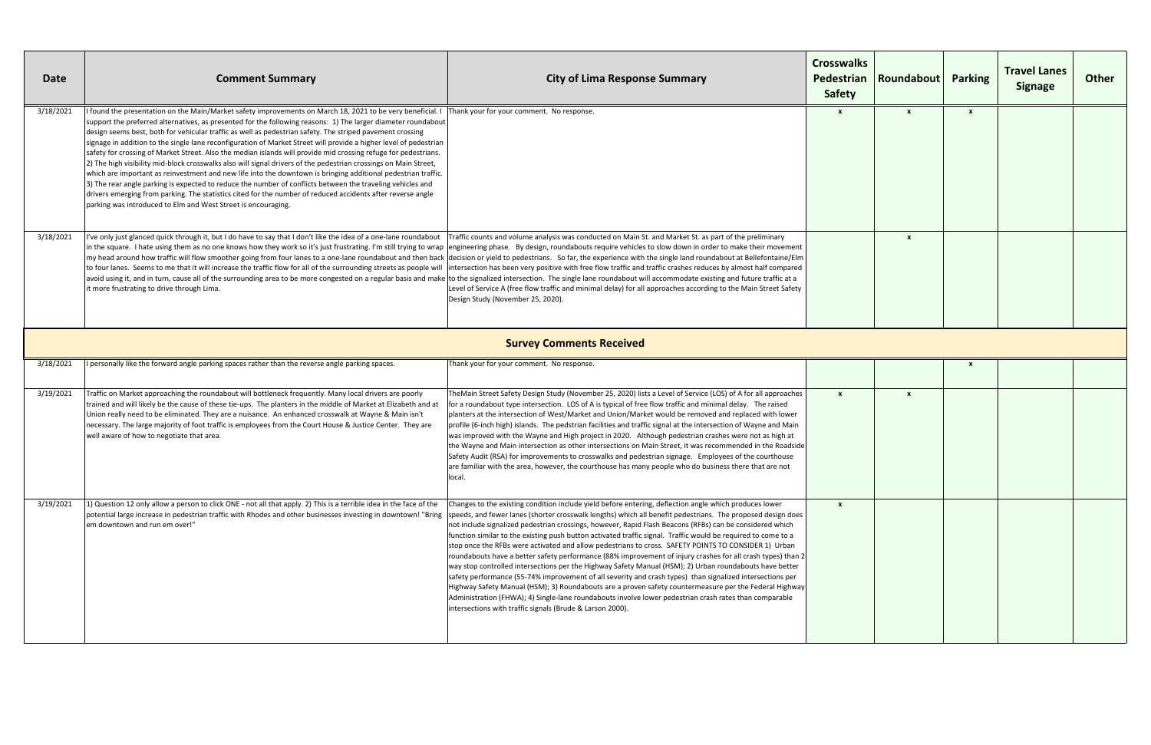| Date      | <b>Comment Summary</b>                                                                                                                                                                                                                                                                                                                                                                                                                                                                                                                                                                                                                                                                                                                                                                                                                                                                                                                                                                                                                                                                                                                                          | <b>City of Lima Response Summary</b>                                                                                                                                                                                                                                                                                                                                                                                                                                                                                                                                                                                                                                                                                                                                                                                                                                                                                                                                                                                                                                                                                                                                               | <b>Crosswalks</b><br>Pedestrian<br><b>Safety</b> | Roundabout       | <b>Parking</b> | <b>Travel Lanes</b><br><b>Signage</b> | Other |
|-----------|-----------------------------------------------------------------------------------------------------------------------------------------------------------------------------------------------------------------------------------------------------------------------------------------------------------------------------------------------------------------------------------------------------------------------------------------------------------------------------------------------------------------------------------------------------------------------------------------------------------------------------------------------------------------------------------------------------------------------------------------------------------------------------------------------------------------------------------------------------------------------------------------------------------------------------------------------------------------------------------------------------------------------------------------------------------------------------------------------------------------------------------------------------------------|------------------------------------------------------------------------------------------------------------------------------------------------------------------------------------------------------------------------------------------------------------------------------------------------------------------------------------------------------------------------------------------------------------------------------------------------------------------------------------------------------------------------------------------------------------------------------------------------------------------------------------------------------------------------------------------------------------------------------------------------------------------------------------------------------------------------------------------------------------------------------------------------------------------------------------------------------------------------------------------------------------------------------------------------------------------------------------------------------------------------------------------------------------------------------------|--------------------------------------------------|------------------|----------------|---------------------------------------|-------|
| 3/18/2021 | I found the presentation on the Main/Market safety improvements on March 18, 2021 to be very beneficial. I Thank your for your comment. No response.<br>support the preferred alternatives, as presented for the following reasons: 1) The larger diameter roundabout<br>design seems best, both for vehicular traffic as well as pedestrian safety. The striped pavement crossing<br>signage in addition to the single lane reconfiguration of Market Street will provide a higher level of pedestrian<br>safety for crossing of Market Street. Also the median islands will provide mid crossing refuge for pedestrians.<br>[2] The high visibility mid-block crosswalks also will signal drivers of the pedestrian crossings on Main Street,<br>which are important as reinvestment and new life into the downtown is bringing additional pedestrian traffic.<br>[3] The rear angle parking is expected to reduce the number of conflicts between the traveling vehicles and<br>drivers emerging from parking. The statistics cited for the number of reduced accidents after reverse angle<br>parking was introduced to Elm and West Street is encouraging. |                                                                                                                                                                                                                                                                                                                                                                                                                                                                                                                                                                                                                                                                                                                                                                                                                                                                                                                                                                                                                                                                                                                                                                                    | $\boldsymbol{x}$                                 | $\mathbf{x}$     | $\mathbf{x}$   |                                       |       |
| 3/18/2021 | I've only just glanced quick through it, but I do have to say that I don't like the idea of a one-lane roundabout<br>in the square. I hate using them as no one knows how they work so it's just frustrating. I'm still trying to wrap  engineering phase. By design, roundabouts require vehicles to slow down in order to make their movement<br>my head around how traffic will flow smoother going from four lanes to a one-lane roundabout and then back decision or yield to pedestrians. So far, the experience with the single land roundabout at Bellefontaine/Elm<br>to four lanes. Seems to me that it will increase the traffic flow for all of the surrounding streets as people will<br>avoid using it, and in turn, cause all of the surrounding area to be more congested on a regular basis and make to the signalized intersection. The single lane roundabout will accommodate existing and future traffic at a<br>it more frustrating to drive through Lima.                                                                                                                                                                                | Traffic counts and volume analysis was conducted on Main St. and Market St. as part of the preliminary<br>intersection has been very positive with free flow traffic and traffic crashes reduces by almost half compared<br>Level of Service A (free flow traffic and minimal delay) for all approaches according to the Main Street Safety<br>Design Study (November 25, 2020).                                                                                                                                                                                                                                                                                                                                                                                                                                                                                                                                                                                                                                                                                                                                                                                                   |                                                  | $\mathbf{x}$     |                |                                       |       |
|           | <b>Survey Comments Received</b>                                                                                                                                                                                                                                                                                                                                                                                                                                                                                                                                                                                                                                                                                                                                                                                                                                                                                                                                                                                                                                                                                                                                 |                                                                                                                                                                                                                                                                                                                                                                                                                                                                                                                                                                                                                                                                                                                                                                                                                                                                                                                                                                                                                                                                                                                                                                                    |                                                  |                  |                |                                       |       |
| 3/18/2021 | personally like the forward angle parking spaces rather than the reverse angle parking spaces.                                                                                                                                                                                                                                                                                                                                                                                                                                                                                                                                                                                                                                                                                                                                                                                                                                                                                                                                                                                                                                                                  | Thank your for your comment. No response.                                                                                                                                                                                                                                                                                                                                                                                                                                                                                                                                                                                                                                                                                                                                                                                                                                                                                                                                                                                                                                                                                                                                          |                                                  |                  | X              |                                       |       |
| 3/19/2021 | Traffic on Market approaching the roundabout will bottleneck frequently. Many local drivers are poorly<br>trained and will likely be the cause of these tie-ups. The planters in the middle of Market at Elizabeth and at<br>Union really need to be eliminated. They are a nuisance. An enhanced crosswalk at Wayne & Main isn't<br>necessary. The large majority of foot traffic is employees from the Court House & Justice Center. They are<br>well aware of how to negotiate that area.                                                                                                                                                                                                                                                                                                                                                                                                                                                                                                                                                                                                                                                                    | TheMain Street Safety Design Study (November 25, 2020) lists a Level of Service (LOS) of A for all approaches<br>for a roundabout type intersection. LOS of A is typical of free flow traffic and minimal delay. The raised<br>planters at the intersection of West/Market and Union/Market would be removed and replaced with lower<br>profile (6-inch high) islands. The pedstrian facilities and traffic signal at the intersection of Wayne and Main<br>was improved with the Wayne and High project in 2020. Although pedestrian crashes were not as high at<br>the Wayne and Main intersection as other intersections on Main Street, it was recommended in the Roadside<br>Safety Audit (RSA) for improvements to crosswalks and pedestrian signage. Employees of the courthouse<br>are familiar with the area, however, the courthouse has many people who do business there that are not<br>local.                                                                                                                                                                                                                                                                        | $\mathbf{x}$                                     | $\boldsymbol{x}$ |                |                                       |       |
| 3/19/2021 | 1) Question 12 only allow a person to click ONE - not all that apply. 2) This is a terrible idea in the face of the<br>potential large increase in pedestrian traffic with Rhodes and other businesses investing in downtown! "Bring<br>lem downtown and run em over!"                                                                                                                                                                                                                                                                                                                                                                                                                                                                                                                                                                                                                                                                                                                                                                                                                                                                                          | Changes to the existing condition include yield before entering, deflection angle which produces lower<br>speeds, and fewer lanes (shorter crosswalk lengths) which all benefit pedestrians. The proposed design does<br>not include signalized pedestrian crossings, however, Rapid Flash Beacons (RFBs) can be considered which<br>function similar to the existing push button activated traffic signal. Traffic would be required to come to a<br>stop once the RFBs were activated and allow pedestrians to cross. SAFETY POINTS TO CONSIDER 1) Urban<br>roundabouts have a better safety performance (88% improvement of injury crashes for all crash types) than 2<br>way stop controlled intersections per the Highway Safety Manual (HSM); 2) Urban roundabouts have better<br>safety performance (55-74% improvement of all severity and crash types) than signalized intersections per<br>Highway Safety Manual (HSM); 3) Roundabouts are a proven safety countermeasure per the Federal Highway<br>Administration (FHWA); 4) Single-lane roundabouts involve lower pedestrian crash rates than comparable<br>intersections with traffic signals (Brude & Larson 2000). | $\mathbf{x}$                                     |                  |                |                                       |       |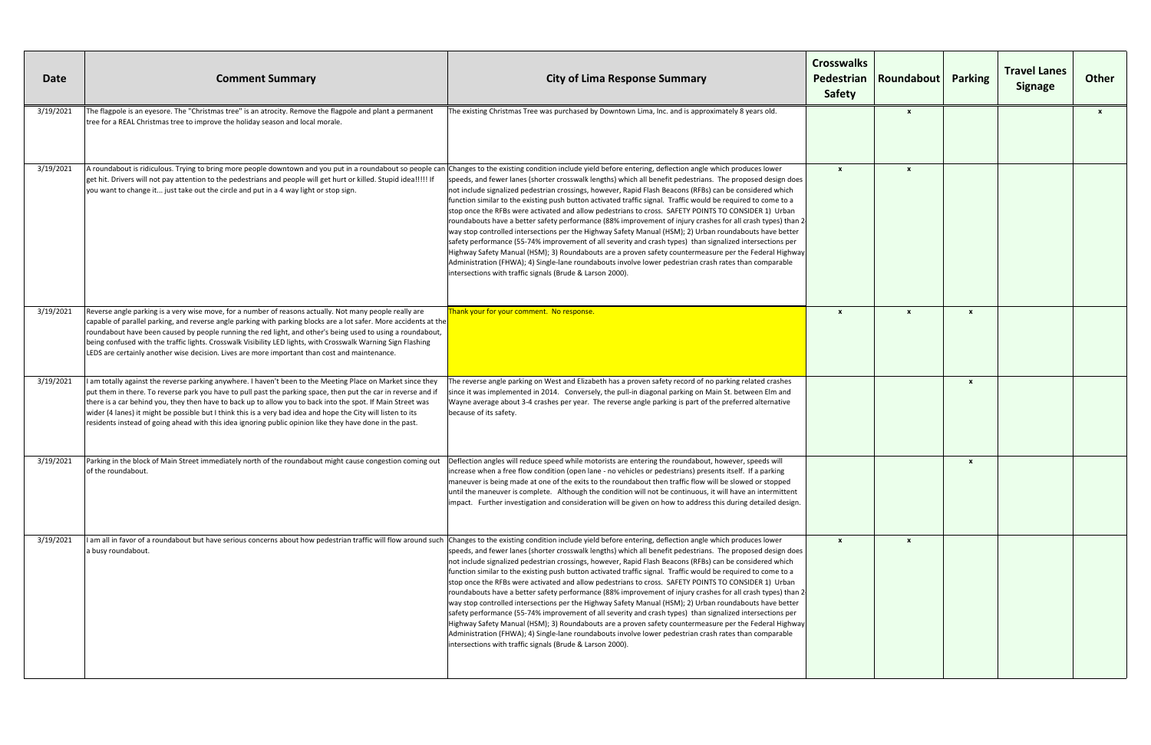| <b>Date</b> | <b>Comment Summary</b>                                                                                                                                                                                                                                                                                                                                                                                                                                                                                                                                                    | <b>City of Lima Response Summary</b>                                                                                                                                                                                                                                                                                                                                                                                                                                                                                                                                                                                                                                                                                                                                                                                                                                                                                                                                                                                                                                                                                                                                               | <b>Crosswalks</b><br>Pedestrian<br><b>Safety</b> | Roundabout                | <b>Parking</b>            | <b>Travel Lanes</b><br><b>Signage</b> | Other        |
|-------------|---------------------------------------------------------------------------------------------------------------------------------------------------------------------------------------------------------------------------------------------------------------------------------------------------------------------------------------------------------------------------------------------------------------------------------------------------------------------------------------------------------------------------------------------------------------------------|------------------------------------------------------------------------------------------------------------------------------------------------------------------------------------------------------------------------------------------------------------------------------------------------------------------------------------------------------------------------------------------------------------------------------------------------------------------------------------------------------------------------------------------------------------------------------------------------------------------------------------------------------------------------------------------------------------------------------------------------------------------------------------------------------------------------------------------------------------------------------------------------------------------------------------------------------------------------------------------------------------------------------------------------------------------------------------------------------------------------------------------------------------------------------------|--------------------------------------------------|---------------------------|---------------------------|---------------------------------------|--------------|
| 3/19/2021   | The flagpole is an eyesore. The "Christmas tree" is an atrocity. Remove the flagpole and plant a permanent<br>tree for a REAL Christmas tree to improve the holiday season and local morale.                                                                                                                                                                                                                                                                                                                                                                              | The existing Christmas Tree was purchased by Downtown Lima, Inc. and is approximately 8 years old.                                                                                                                                                                                                                                                                                                                                                                                                                                                                                                                                                                                                                                                                                                                                                                                                                                                                                                                                                                                                                                                                                 |                                                  | $\boldsymbol{\mathsf{x}}$ |                           |                                       | $\mathbf{x}$ |
| 3/19/2021   | A roundabout is ridiculous. Trying to bring more people downtown and you put in a roundabout so people car<br>get hit. Drivers will not pay attention to the pedestrians and people will get hurt or killed. Stupid idea!!!!! If<br>you want to change it just take out the circle and put in a 4 way light or stop sign.                                                                                                                                                                                                                                                 | Changes to the existing condition include yield before entering, deflection angle which produces lower<br>speeds, and fewer lanes (shorter crosswalk lengths) which all benefit pedestrians. The proposed design does<br>not include signalized pedestrian crossings, however, Rapid Flash Beacons (RFBs) can be considered which<br>function similar to the existing push button activated traffic signal. Traffic would be required to come to a<br>stop once the RFBs were activated and allow pedestrians to cross. SAFETY POINTS TO CONSIDER 1) Urban<br>roundabouts have a better safety performance (88% improvement of injury crashes for all crash types) than 2<br>way stop controlled intersections per the Highway Safety Manual (HSM); 2) Urban roundabouts have better<br>safety performance (55-74% improvement of all severity and crash types) than signalized intersections per<br>Highway Safety Manual (HSM); 3) Roundabouts are a proven safety countermeasure per the Federal Highway<br>Administration (FHWA); 4) Single-lane roundabouts involve lower pedestrian crash rates than comparable<br>intersections with traffic signals (Brude & Larson 2000). | $\mathbf{x}$                                     | $\boldsymbol{\mathsf{x}}$ |                           |                                       |              |
| 3/19/2021   | Reverse angle parking is a very wise move, for a number of reasons actually. Not many people really are<br>capable of parallel parking, and reverse angle parking with parking blocks are a lot safer. More accidents at the<br>roundabout have been caused by people running the red light, and other's being used to using a roundabout,<br>being confused with the traffic lights. Crosswalk Visibility LED lights, with Crosswalk Warning Sign Flashing<br>LEDS are certainly another wise decision. Lives are more important than cost and maintenance.              | Thank your for your comment. No response.                                                                                                                                                                                                                                                                                                                                                                                                                                                                                                                                                                                                                                                                                                                                                                                                                                                                                                                                                                                                                                                                                                                                          | $\mathbf{x}$                                     | $\boldsymbol{x}$          | $\boldsymbol{x}$          |                                       |              |
| 3/19/2021   | I am totally against the reverse parking anywhere. I haven't been to the Meeting Place on Market since they<br>put them in there. To reverse park you have to pull past the parking space, then put the car in reverse and if<br>there is a car behind you, they then have to back up to allow you to back into the spot. If Main Street was<br>wider (4 lanes) it might be possible but I think this is a very bad idea and hope the City will listen to its<br>residents instead of going ahead with this idea ignoring public opinion like they have done in the past. | The reverse angle parking on West and Elizabeth has a proven safety record of no parking related crashes<br>since it was implemented in 2014. Conversely, the pull-in diagonal parking on Main St. between Elm and<br>Wayne average about 3-4 crashes per year. The reverse angle parking is part of the preferred alternative<br>because of its safety.                                                                                                                                                                                                                                                                                                                                                                                                                                                                                                                                                                                                                                                                                                                                                                                                                           |                                                  |                           | X                         |                                       |              |
| 3/19/2021   | Parking in the block of Main Street immediately north of the roundabout might cause congestion coming out<br>of the roundabout.                                                                                                                                                                                                                                                                                                                                                                                                                                           | Deflection angles will reduce speed while motorists are entering the roundabout, however, speeds will<br>increase when a free flow condition (open lane - no vehicles or pedestrians) presents itself. If a parking<br>maneuver is being made at one of the exits to the roundabout then traffic flow will be slowed or stopped<br>until the maneuver is complete. Although the condition will not be continuous, it will have an intermittent<br>impact. Further investigation and consideration will be given on how to address this during detailed design.                                                                                                                                                                                                                                                                                                                                                                                                                                                                                                                                                                                                                     |                                                  |                           | $\boldsymbol{\mathsf{x}}$ |                                       |              |
| 3/19/2021   | I am all in favor of a roundabout but have serious concerns about how pedestrian traffic will flow around such<br>a busy roundabout.                                                                                                                                                                                                                                                                                                                                                                                                                                      | Changes to the existing condition include yield before entering, deflection angle which produces lower<br>speeds, and fewer lanes (shorter crosswalk lengths) which all benefit pedestrians. The proposed design does<br>not include signalized pedestrian crossings, however, Rapid Flash Beacons (RFBs) can be considered which<br>function similar to the existing push button activated traffic signal. Traffic would be required to come to a<br>stop once the RFBs were activated and allow pedestrians to cross. SAFETY POINTS TO CONSIDER 1) Urban<br>roundabouts have a better safety performance (88% improvement of injury crashes for all crash types) than 2<br>way stop controlled intersections per the Highway Safety Manual (HSM); 2) Urban roundabouts have better<br>safety performance (55-74% improvement of all severity and crash types) than signalized intersections per<br>Highway Safety Manual (HSM); 3) Roundabouts are a proven safety countermeasure per the Federal Highway<br>Administration (FHWA); 4) Single-lane roundabouts involve lower pedestrian crash rates than comparable<br>intersections with traffic signals (Brude & Larson 2000). | $\mathbf{x}$                                     | $\boldsymbol{x}$          |                           |                                       |              |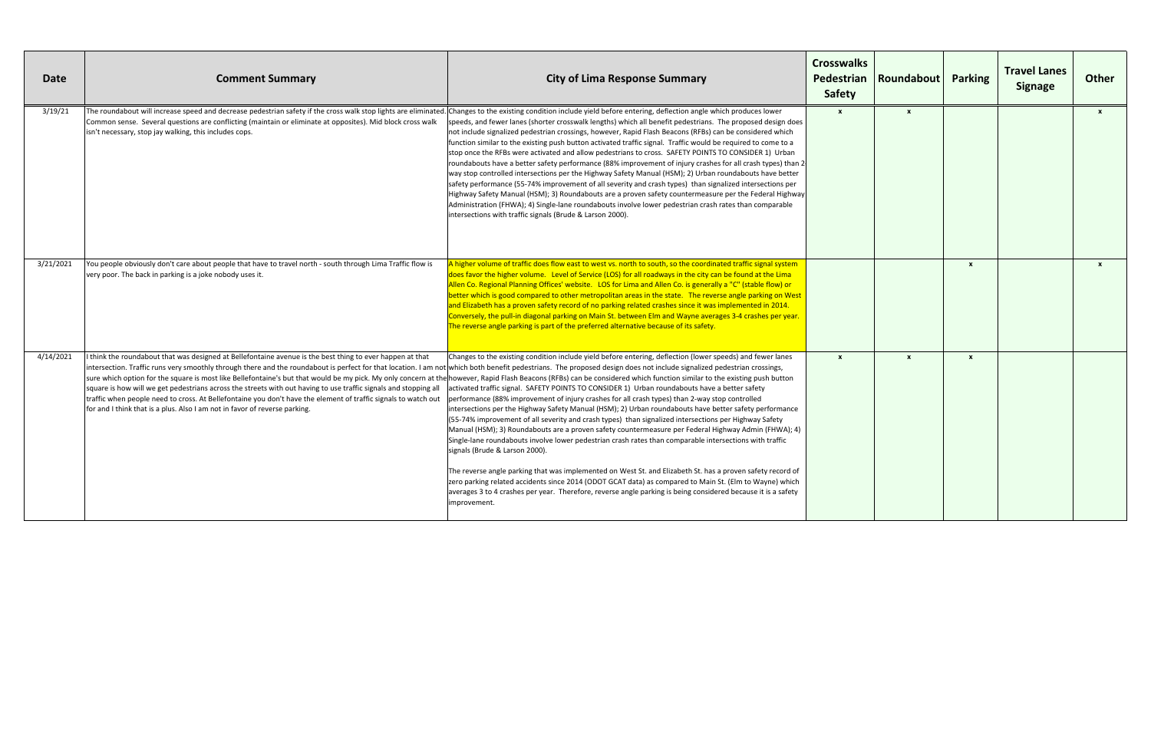| <b>Date</b> | <b>Comment Summary</b>                                                                                                                                                                                                                                                                                                                                                                                                                                                                                                                                                                                                                                                                                                                                                                                                                                                              | <b>City of Lima Response Summary</b>                                                                                                                                                                                                                                                                                                                                                                                                                                                                                                                                                                                                                                                                                                                                                                                                                                                                                                                                                                                                                                                                                                           | <b>Crosswalks</b><br><b>Safety</b> | Pedestrian   Roundabout | <b>Parking</b>   | <b>Travel Lanes</b><br><b>Signage</b> | <b>Other</b> |
|-------------|-------------------------------------------------------------------------------------------------------------------------------------------------------------------------------------------------------------------------------------------------------------------------------------------------------------------------------------------------------------------------------------------------------------------------------------------------------------------------------------------------------------------------------------------------------------------------------------------------------------------------------------------------------------------------------------------------------------------------------------------------------------------------------------------------------------------------------------------------------------------------------------|------------------------------------------------------------------------------------------------------------------------------------------------------------------------------------------------------------------------------------------------------------------------------------------------------------------------------------------------------------------------------------------------------------------------------------------------------------------------------------------------------------------------------------------------------------------------------------------------------------------------------------------------------------------------------------------------------------------------------------------------------------------------------------------------------------------------------------------------------------------------------------------------------------------------------------------------------------------------------------------------------------------------------------------------------------------------------------------------------------------------------------------------|------------------------------------|-------------------------|------------------|---------------------------------------|--------------|
| 3/19/21     | The roundabout will increase speed and decrease pedestrian safety if the cross walk stop lights are eliminated. Changes to the existing condition include yield before entering, deflection angle which produces lower<br>Common sense. Several questions are conflicting (maintain or eliminate at opposites). Mid block cross walk<br>isn't necessary, stop jay walking, this includes cops.                                                                                                                                                                                                                                                                                                                                                                                                                                                                                      | speeds, and fewer lanes (shorter crosswalk lengths) which all benefit pedestrians. The proposed design does<br>not include signalized pedestrian crossings, however, Rapid Flash Beacons (RFBs) can be considered which<br>function similar to the existing push button activated traffic signal. Traffic would be required to come to a<br>stop once the RFBs were activated and allow pedestrians to cross. SAFETY POINTS TO CONSIDER 1) Urban<br>roundabouts have a better safety performance (88% improvement of injury crashes for all crash types) than 2<br>way stop controlled intersections per the Highway Safety Manual (HSM); 2) Urban roundabouts have better<br>safety performance (55-74% improvement of all severity and crash types) than signalized intersections per<br>Highway Safety Manual (HSM); 3) Roundabouts are a proven safety countermeasure per the Federal Highway<br>Administration (FHWA); 4) Single-lane roundabouts involve lower pedestrian crash rates than comparable<br>intersections with traffic signals (Brude & Larson 2000).                                                                       | $\mathbf{x}$                       | x                       |                  |                                       | $\mathbf{x}$ |
| 3/21/2021   | You people obviously don't care about people that have to travel north - south through Lima Traffic flow is<br>very poor. The back in parking is a joke nobody uses it.                                                                                                                                                                                                                                                                                                                                                                                                                                                                                                                                                                                                                                                                                                             | A higher volume of traffic does flow east to west vs. north to south, so the coordinated traffic signal system<br>does favor the higher volume. Level of Service (LOS) for all roadways in the city can be found at the Lima<br>Allen Co. Regional Planning Offices' website. LOS for Lima and Allen Co. is generally a "C" (stable flow) or<br>better which is good compared to other metropolitan areas in the state. The reverse angle parking on West<br>and Elizabeth has a proven safety record of no parking related crashes since it was implemented in 2014.<br>Conversely, the pull-in diagonal parking on Main St. between Elm and Wayne averages 3-4 crashes per year.<br>The reverse angle parking is part of the preferred alternative because of its safety.                                                                                                                                                                                                                                                                                                                                                                    |                                    |                         | $\boldsymbol{x}$ |                                       | x            |
| 4/14/2021   | I think the roundabout that was designed at Bellefontaine avenue is the best thing to ever happen at that<br>intersection. Traffic runs very smoothly through there and the roundabout is perfect for that location. I am not which both benefit pedestrians. The proposed design does not include signalized pedestrian crossings,<br>sure which option for the square is most like Bellefontaine's but that would be my pick. My only concern at the however, Rapid Flash Beacons (RFBs) can be considered which function similar to the existing push button<br>square is how will we get pedestrians across the streets with out having to use traffic signals and stopping all<br>traffic when people need to cross. At Bellefontaine you don't have the element of traffic signals to watch out<br>for and I think that is a plus. Also I am not in favor of reverse parking. | Changes to the existing condition include yield before entering, deflection (lower speeds) and fewer lanes<br>activated traffic signal. SAFETY POINTS TO CONSIDER 1) Urban roundabouts have a better safety<br>performance (88% improvement of injury crashes for all crash types) than 2-way stop controlled<br>intersections per the Highway Safety Manual (HSM); 2) Urban roundabouts have better safety performance<br>(55-74% improvement of all severity and crash types) than signalized intersections per Highway Safety<br>Manual (HSM); 3) Roundabouts are a proven safety countermeasure per Federal Highway Admin (FHWA); 4)<br>Single-lane roundabouts involve lower pedestrian crash rates than comparable intersections with traffic<br>signals (Brude & Larson 2000).<br>The reverse angle parking that was implemented on West St. and Elizabeth St. has a proven safety record of<br>zero parking related accidents since 2014 (ODOT GCAT data) as compared to Main St. (Elm to Wayne) which<br>averages 3 to 4 crashes per year. Therefore, reverse angle parking is being considered because it is a safety<br>mprovement. | $\mathbf{x}$                       | $\mathbf{x}$            | $\mathbf{x}$     |                                       |              |